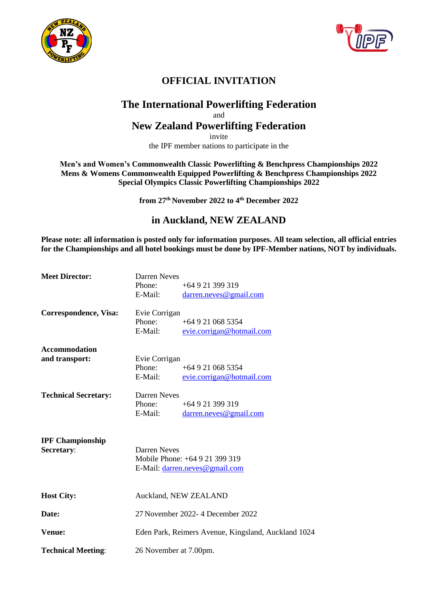



# **OFFICIAL INVITATION**

## **The International Powerlifting Federation**

### and

## **New Zealand Powerlifting Federation**

invite

the IPF member nations to participate in the

**Men's and Women's Commonwealth Classic Powerlifting & Benchpress Championships 2022 Mens & Womens Commonwealth Equipped Powerlifting & Benchpress Championships 2022 Special Olympics Classic Powerlifting Championships 2022**

**from 27 th November 2022 to 4 th December 2022**

## **in Auckland, NEW ZEALAND**

**Please note: all information is posted only for information purposes. All team selection, all official entries for the Championships and all hotel bookings must be done by IPF-Member nations, NOT by individuals.**

| <b>Meet Director:</b>                  | <b>Darren Neves</b><br>Phone:<br>E-Mail:                                         | +64 9 21 399 319<br>darren.neves@gmail.com   |  |  |
|----------------------------------------|----------------------------------------------------------------------------------|----------------------------------------------|--|--|
| Correspondence, Visa:                  | Evie Corrigan<br>Phone:<br>E-Mail:                                               | $+649210685354$<br>evie.corrigan@hotmail.com |  |  |
| <b>Accommodation</b><br>and transport: | Evie Corrigan<br>Phone:<br>E-Mail:                                               | $+649210685354$<br>evie.corrigan@hotmail.com |  |  |
| <b>Technical Secretary:</b>            | Darren Neves<br>Phone:<br>E-Mail:                                                | $+64921399319$<br>darren.neves@gmail.com     |  |  |
| <b>IPF Championship</b><br>Secretary:  | Darren Neves<br>Mobile Phone: +64 9 21 399 319<br>E-Mail: darren.neves@gmail.com |                                              |  |  |
| <b>Host City:</b>                      | Auckland, NEW ZEALAND                                                            |                                              |  |  |
| Date:                                  | 27 November 2022- 4 December 2022                                                |                                              |  |  |
| Venue:                                 | Eden Park, Reimers Avenue, Kingsland, Auckland 1024                              |                                              |  |  |
| <b>Technical Meeting:</b>              | 26 November at 7.00pm.                                                           |                                              |  |  |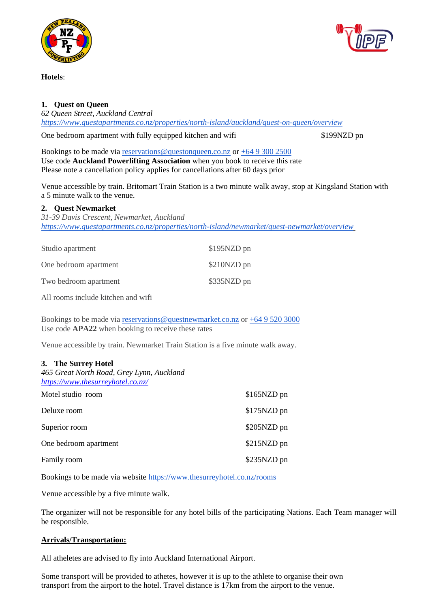

**Hotels**:

## **1. Quest on Queen**

*62 Queen Street, Auckland Central <https://www.questapartments.co.nz/properties/north-island/auckland/quest-on-queen/overview>*

One bedroom apartment with fully equipped kitchen and wifi \$199NZD pn

Bookings to be made via [reservations@questonqueen.co.nz](mailto:reservations@questonqueen.co.nz) or +64 9 300 2500 Use code **Auckland Powerlifting Association** when you book to receive this rate Please note a cancellation policy applies for cancellations after 60 days prior

Venue accessible by train. Britomart Train Station is a two minute walk away, stop at Kingsland Station with a 5 minute walk to the venue.

### **2. Quest Newmarket**

*31-39 Davis Crescent, Newmarket, Auckland <https://www.questapartments.co.nz/properties/north-island/newmarket/quest-newmarket/overview>*

| Studio apartment      | \$195NZD pn |
|-----------------------|-------------|
| One bedroom apartment | \$210NZD pn |
| Two bedroom apartment | \$335NZD pn |

All rooms include kitchen and wifi

Bookings to be made via [reservations@questnewmarket.co.nz](mailto:reservations@questnewmarket.co.nz) or +64 9 520 3000 Use code **APA22** when booking to receive these rates

Venue accessible by train. Newmarket Train Station is a five minute walk away.

### **3. The Surrey Hotel**

| 465 Great North Road, Grey Lynn, Auckland<br>https://www.thesurreyhotel.co.nz/ |             |
|--------------------------------------------------------------------------------|-------------|
| Motel studio room                                                              | \$165NZD pn |
| Deluxe room                                                                    | \$175NZD pn |
| Superior room                                                                  | \$205NZD pn |
| One bedroom apartment                                                          | \$215NZD pn |
| Family room                                                                    | \$235NZD pn |

Bookings to be made via website<https://www.thesurreyhotel.co.nz/rooms>

Venue accessible by a five minute walk.

The organizer will not be responsible for any hotel bills of the participating Nations. Each Team manager will be responsible.

### **Arrivals/Transportation:**

All atheletes are advised to fly into Auckland International Airport.

Some transport will be provided to athetes, however it is up to the athlete to organise their own transport from the airport to the hotel. Travel distance is 17km from the airport to the venue.

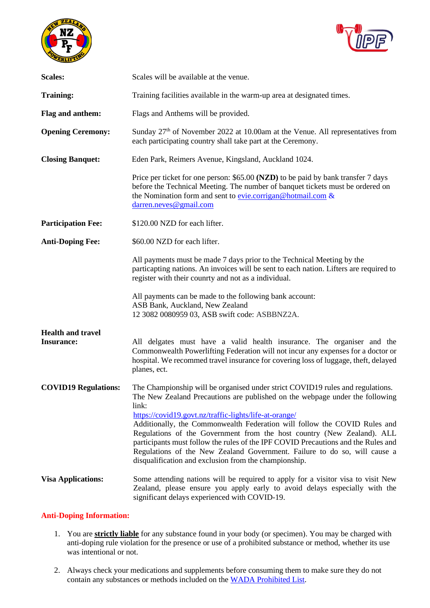



| <b>Scales:</b>                                | Scales will be available at the venue.                                                                                                                                                                                                                                                                                                                                                                                                                                                                                                                                                                              |  |  |  |  |
|-----------------------------------------------|---------------------------------------------------------------------------------------------------------------------------------------------------------------------------------------------------------------------------------------------------------------------------------------------------------------------------------------------------------------------------------------------------------------------------------------------------------------------------------------------------------------------------------------------------------------------------------------------------------------------|--|--|--|--|
| <b>Training:</b>                              | Training facilities available in the warm-up area at designated times.                                                                                                                                                                                                                                                                                                                                                                                                                                                                                                                                              |  |  |  |  |
| Flag and anthem:                              | Flags and Anthems will be provided.                                                                                                                                                                                                                                                                                                                                                                                                                                                                                                                                                                                 |  |  |  |  |
| <b>Opening Ceremony:</b>                      | Sunday 27 <sup>th</sup> of November 2022 at 10.00am at the Venue. All representatives from<br>each participating country shall take part at the Ceremony.                                                                                                                                                                                                                                                                                                                                                                                                                                                           |  |  |  |  |
| <b>Closing Banquet:</b>                       | Eden Park, Reimers Avenue, Kingsland, Auckland 1024.                                                                                                                                                                                                                                                                                                                                                                                                                                                                                                                                                                |  |  |  |  |
|                                               | Price per ticket for one person: \$65.00 (NZD) to be paid by bank transfer 7 days<br>before the Technical Meeting. The number of banquet tickets must be ordered on<br>the Nomination form and sent to evie.corrigan@hotmail.com &<br>darren.neves@gmail.com                                                                                                                                                                                                                                                                                                                                                        |  |  |  |  |
| <b>Participation Fee:</b>                     | \$120.00 NZD for each lifter.                                                                                                                                                                                                                                                                                                                                                                                                                                                                                                                                                                                       |  |  |  |  |
| <b>Anti-Doping Fee:</b>                       | \$60.00 NZD for each lifter.                                                                                                                                                                                                                                                                                                                                                                                                                                                                                                                                                                                        |  |  |  |  |
|                                               | All payments must be made 7 days prior to the Technical Meeting by the<br>particapting nations. An invoices will be sent to each nation. Lifters are required to<br>register with their counrty and not as a individual.                                                                                                                                                                                                                                                                                                                                                                                            |  |  |  |  |
|                                               | All payments can be made to the following bank account:<br>ASB Bank, Auckland, New Zealand<br>12 3082 0080959 03, ASB swift code: ASBBNZ2A.                                                                                                                                                                                                                                                                                                                                                                                                                                                                         |  |  |  |  |
| <b>Health and travel</b><br><b>Insurance:</b> | All delgates must have a valid health insurance. The organiser and the<br>Commonwealth Powerlifting Federation will not incur any expenses for a doctor or<br>hospital. We recommed travel insurance for covering loss of luggage, theft, delayed<br>planes, ect.                                                                                                                                                                                                                                                                                                                                                   |  |  |  |  |
| <b>COVID19 Regulations:</b>                   | The Championship will be organised under strict COVID19 rules and regulations.<br>The New Zealand Precautions are published on the webpage under the following<br>link:<br>https://covid19.govt.nz/traffic-lights/life-at-orange/<br>Additionally, the Commonwealth Federation will follow the COVID Rules and<br>Regulations of the Government from the host country (New Zealand). ALL<br>participants must follow the rules of the IPF COVID Precautions and the Rules and<br>Regulations of the New Zealand Government. Failure to do so, will cause a<br>disqualification and exclusion from the championship. |  |  |  |  |
| <b>Visa Applications:</b>                     | Some attending nations will be required to apply for a visitor visa to visit New<br>Zealand, please ensure you apply early to avoid delays especially with the<br>significant delays experienced with COVID-19.                                                                                                                                                                                                                                                                                                                                                                                                     |  |  |  |  |

#### **Anti-Doping Information:**

- 1. You are **strictly liable** for any substance found in your body (or specimen). You may be charged with anti-doping rule violation for the presence or use of a prohibited substance or method, whether its use was intentional or not.
- 2. Always check your medications and supplements before consuming them to make sure they do not contain any substances or methods included on the [WADA Prohibited List.](https://www.powerlifting.sport/anti-doping/prohibited-list)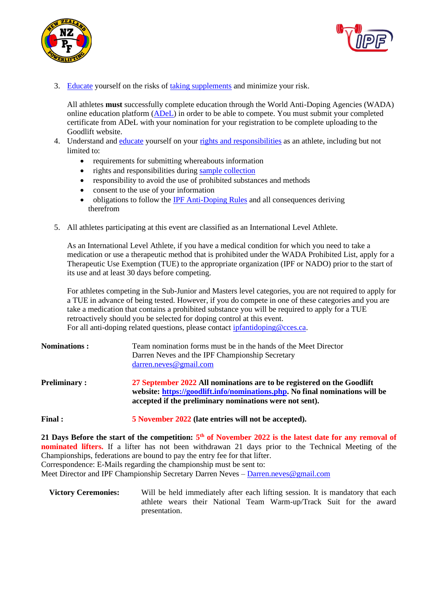



3. [Educate](https://adel.wada-ama.org/en) yourself on the risks of [taking supplements](https://www.powerlifting.sport/anti-doping/supplements) and minimize your risk.

All athletes **must** successfully complete education through the World Anti-Doping Agencies (WADA) online education platform [\(ADeL\)](https://adel.wada-ama.org/en) in order to be able to compete. You must submit your completed certificate from ADeL with your nomination for your registration to be complete uploading to the Goodlift website.

- 4. Understand and [educate](https://www.powerlifting.sport/anti-doping/education) yourself on your [rights and responsibilities](https://www.wada-ama.org/en/resources/education-and-prevention/at-a-glance-the-doping-control-process) as an athlete, including but not limited to:
	- requirements for submitting whereabouts information
	- rights and responsibilities during [sample collection](https://www.wada-ama.org/en/resources/education-and-prevention/doping-control-process-for-athletes)
	- responsibility to avoid the use of prohibited substances and methods
	- consent to the use of your information
	- obligations to follow the [IPF Anti-Doping Rules](https://www.powerlifting.sport/anti-doping/ipf-anti-doping-rules) and all consequences deriving therefrom
- 5. All athletes participating at this event are classified as an International Level Athlete.

As an International Level Athlete, if you have a medical condition for which you need to take a medication or use a therapeutic method that is prohibited under the WADA Prohibited List, apply for a Therapeutic Use Exemption (TUE) to the appropriate organization (IPF or NADO) prior to the start of its use and at least 30 days before competing.

For athletes competing in the Sub-Junior and Masters level categories, you are not required to apply for a TUE in advance of being tested. However, if you do compete in one of these categories and you are take a medication that contains a prohibited substance you will be required to apply for a TUE retroactively should you be selected for doping control at this event. For all anti-doping related questions, please contac[t ipfantidoping@cces.ca.](mailto:ipfantidoping@cces.ca)

| <b>Nominations:</b> | Team nomination forms must be in the hands of the Meet Director<br>Darren Neves and the IPF Championship Secretary<br>$d$ arren.neves@gmail.com                                                                   |
|---------------------|-------------------------------------------------------------------------------------------------------------------------------------------------------------------------------------------------------------------|
| <b>Preliminary:</b> | 27 September 2022 All nominations are to be registered on the Goodlift<br>website: https://goodlift.info/nominations.php. No final nominations will be<br>accepted if the preliminary nominations were not sent). |
| <b>Final:</b>       | 5 November 2022 (late entries will not be accepted).                                                                                                                                                              |

21 Days Before the start of the competition:  $5<sup>th</sup>$  of November 2022 is the latest date for any removal of **nominated lifters.** If a lifter has not been withdrawan 21 days prior to the Technical Meeting of the Championships, federations are bound to pay the entry fee for that lifter. Correspondence: E-Mails regarding the championship must be sent to:

Meet Director and IPF Championship Secretary Darren Neves – [Darren.neves@gmail.com](mailto:Darren.neves@gmail.com)

**Victory Ceremonies:** Will be held immediately after each lifting session. It is mandatory that each athlete wears their National Team Warm-up/Track Suit for the award presentation.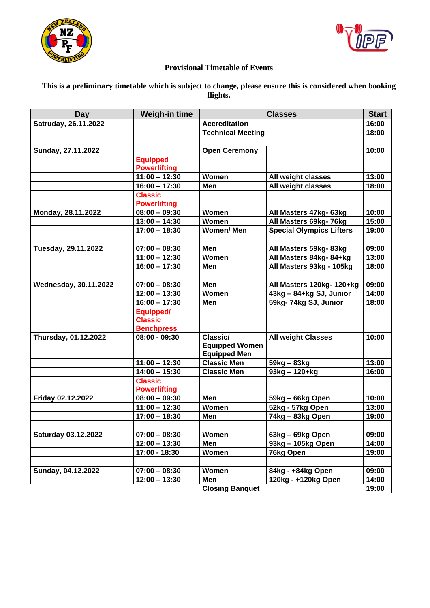



### **Provisional Timetable of Events**

### **This is a preliminary timetable which is subject to change, please ensure this is considered when booking flights.**

| Day                          | Weigh-in time                                    | <b>Classes</b>                                           |                                 | <b>Start</b> |
|------------------------------|--------------------------------------------------|----------------------------------------------------------|---------------------------------|--------------|
| Satruday, 26.11.2022         |                                                  | <b>Accreditation</b>                                     |                                 | 16:00        |
|                              |                                                  | <b>Technical Meeting</b>                                 |                                 | 18:00        |
|                              |                                                  |                                                          |                                 |              |
| Sunday, 27.11.2022           |                                                  | <b>Open Ceremony</b>                                     |                                 | 10:00        |
|                              | <b>Equipped</b><br><b>Powerlifting</b>           |                                                          |                                 |              |
|                              | $11:00 - 12:30$                                  | Women                                                    | All weight classes              | 13:00        |
|                              | $\overline{16:00} - 17:30$                       | Men                                                      | All weight classes              | 18:00        |
|                              | <b>Classic</b><br><b>Powerlifting</b>            |                                                          |                                 |              |
| Monday, 28.11.2022           | $08:00 - 09:30$                                  | Women                                                    | All Masters 47kg- 63kg          | 10:00        |
|                              | $13:00 - 14:30$                                  | Women                                                    | All Masters 69kg- 76kg          | 15:00        |
|                              | $17:00 - 18:30$                                  | <b>Women/Men</b>                                         | <b>Special Olympics Lifters</b> | 19:00        |
|                              |                                                  |                                                          |                                 |              |
| Tuesday, 29.11.2022          | $07:00 - 08:30$                                  | Men                                                      | All Masters 59kg-83kg           | 09:00        |
|                              | $11:00 - 12:30$                                  | Women                                                    | All Masters 84kg-84+kg          | 13:00        |
|                              | $16:00 - 17:30$                                  | Men                                                      | All Masters 93kg - 105kg        | 18:00        |
|                              |                                                  |                                                          |                                 |              |
| <b>Wednesday, 30.11.2022</b> | $07:00 - 08:30$                                  | Men                                                      | All Masters 120kg-120+kg        | 09:00        |
|                              | $12:00 - 13:30$                                  | Women                                                    | 43kg - 84+kg SJ, Junior         | 14:00        |
|                              | $16:00 - 17:30$                                  | Men                                                      | 59kg- 74kg SJ, Junior           | 18:00        |
|                              | Equipped/<br><b>Classic</b><br><b>Benchpress</b> |                                                          |                                 |              |
| Thursday, 01.12.2022         | $08:00 - 09:30$                                  | Classic/<br><b>Equipped Women</b><br><b>Equipped Men</b> | <b>All weight Classes</b>       | 10:00        |
|                              | $11:00 - 12:30$                                  | <b>Classic Men</b>                                       | 59kg - 83kg                     | 13:00        |
|                              | $14:00 - 15:30$                                  | <b>Classic Men</b>                                       | $93kg - 120 + kg$               | 16:00        |
|                              | <b>Classic</b><br><b>Powerlifting</b>            |                                                          |                                 |              |
| Friday 02.12.2022            | $08:00 - 09:30$                                  | Men                                                      | 59kg - 66kg Open                | 10:00        |
|                              | $11:00 - 12:30$                                  | Women                                                    | 52kg - 57kg Open                | 13:00        |
|                              | $17:00 - 18:30$                                  | Men                                                      | 74kg - 83kg Open                | 19:00        |
|                              |                                                  |                                                          |                                 |              |
| <b>Saturday 03.12.2022</b>   | $07:00 - 08:30$                                  | Women                                                    | 63kg - 69kg Open                | 09:00        |
|                              | $12:00 - 13:30$                                  | Men                                                      | 93kg - 105kg Open               | 14:00        |
|                              | 17:00 - 18:30                                    | Women                                                    | 76kg Open                       | 19:00        |
|                              |                                                  |                                                          |                                 |              |
| Sunday, 04.12.2022           | $07:00 - 08:30$                                  | Women                                                    | 84kg - +84kg Open               | 09:00        |
|                              | $12:00 - 13:30$                                  | Men                                                      | 120kg - +120kg Open             | 14:00        |
|                              |                                                  | <b>Closing Banquet</b>                                   |                                 | 19:00        |